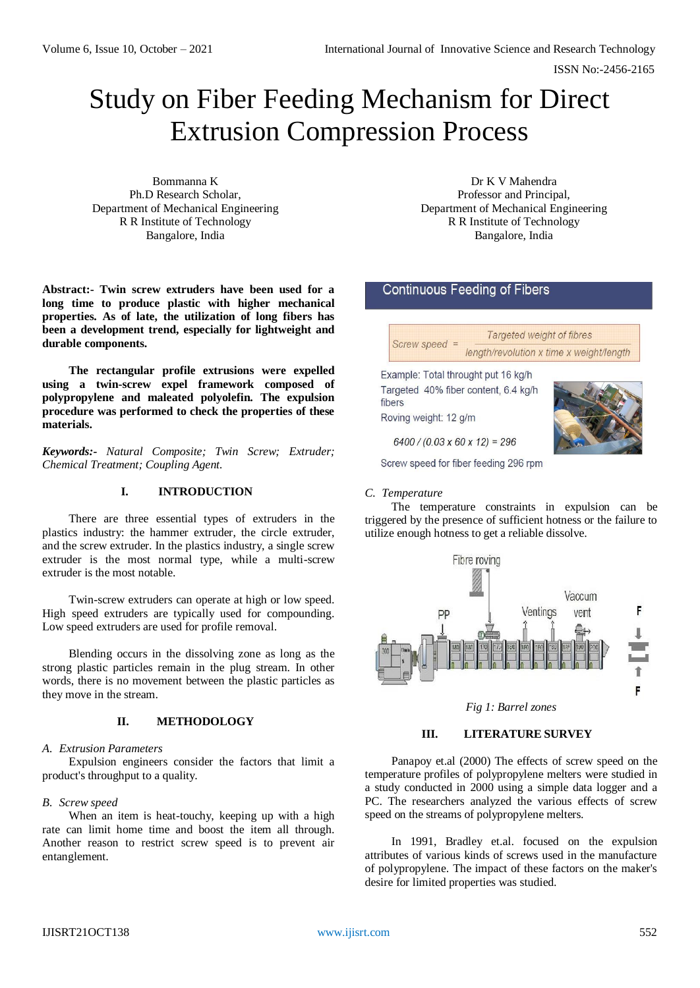ISSN No:-2456-2165

# Study on Fiber Feeding Mechanism for Direct Extrusion Compression Process

Bommanna K Ph.D Research Scholar, Department of Mechanical Engineering R R Institute of Technology Bangalore, India

Dr K V Mahendra Professor and Principal, Department of Mechanical Engineering R R Institute of Technology Bangalore, India

# **Continuous Feeding of Fibers**

| $Screen speed =$ | Targeted weight of fibres                |
|------------------|------------------------------------------|
|                  | length/revolution x time x weight/length |

Example: Total throught put 16 kg/h Targeted 40% fiber content, 6.4 kg/h fibers

Roving weight: 12 g/m



 $6400 / (0.03 \times 60 \times 12) = 296$ 

Screw speed for fiber feeding 296 rpm

#### *C. Temperature*

The temperature constraints in expulsion can be triggered by the presence of sufficient hotness or the failure to utilize enough hotness to get a reliable dissolve.



*Fig 1: Barrel zones*

#### **III. LITERATURE SURVEY**

Panapoy et.al (2000) The effects of screw speed on the temperature profiles of polypropylene melters were studied in a study conducted in 2000 using a simple data logger and a PC. The researchers analyzed the various effects of screw speed on the streams of polypropylene melters.

In 1991, Bradley et.al. focused on the expulsion attributes of various kinds of screws used in the manufacture of polypropylene. The impact of these factors on the maker's desire for limited properties was studied.

#### **Abstract:- Twin screw extruders have been used for a long time to produce plastic with higher mechanical properties. As of late, the utilization of long fibers has been a development trend, especially for lightweight and durable components.**

**The rectangular profile extrusions were expelled using a twin-screw expel framework composed of polypropylene and maleated polyolefin. The expulsion procedure was performed to check the properties of these materials.**

*Keywords:- Natural Composite; Twin Screw; Extruder; Chemical Treatment; Coupling Agent.*

# **I. INTRODUCTION**

There are three essential types of extruders in the plastics industry: the hammer extruder, the circle extruder, and the screw extruder. In the plastics industry, a single screw extruder is the most normal type, while a multi-screw extruder is the most notable.

Twin-screw extruders can operate at high or low speed. High speed extruders are typically used for compounding. Low speed extruders are used for profile removal.

Blending occurs in the dissolving zone as long as the strong plastic particles remain in the plug stream. In other words, there is no movement between the plastic particles as they move in the stream.

# **II. METHODOLOGY**

# *A. Extrusion Parameters*

Expulsion engineers consider the factors that limit a product's throughput to a quality.

# *B. Screw speed*

When an item is heat-touchy, keeping up with a high rate can limit home time and boost the item all through. Another reason to restrict screw speed is to prevent air entanglement.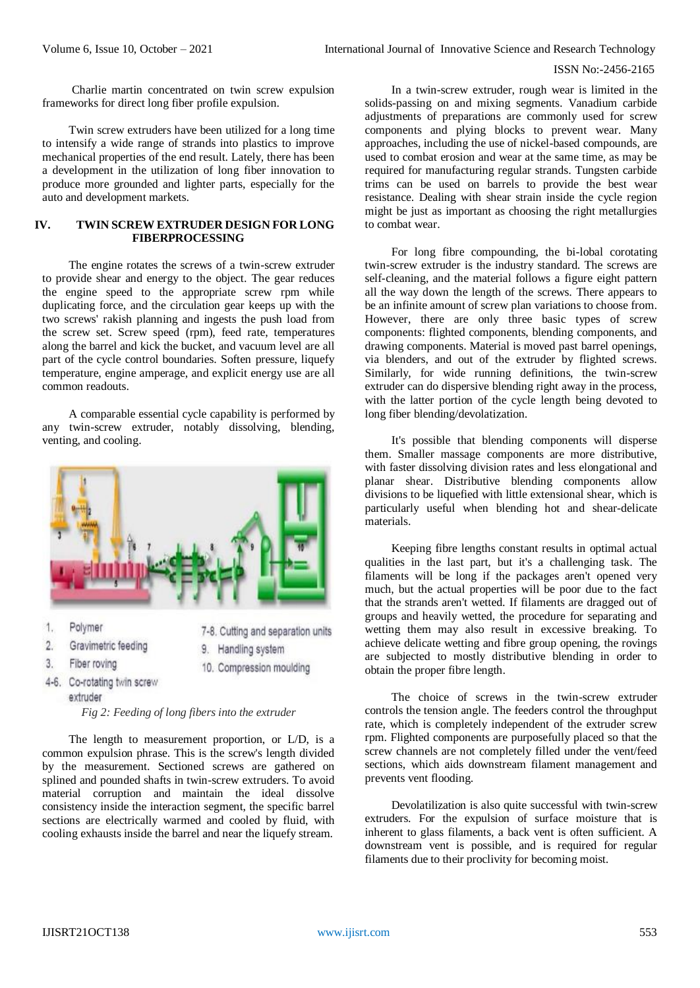#### ISSN No:-2456-2165

Charlie martin concentrated on twin screw expulsion frameworks for direct long fiber profile expulsion.

Twin screw extruders have been utilized for a long time to intensify a wide range of strands into plastics to improve mechanical properties of the end result. Lately, there has been a development in the utilization of long fiber innovation to produce more grounded and lighter parts, especially for the auto and development markets.

# **IV. TWIN SCREW EXTRUDER DESIGN FOR LONG FIBERPROCESSING**

The engine rotates the screws of a twin-screw extruder to provide shear and energy to the object. The gear reduces the engine speed to the appropriate screw rpm while duplicating force, and the circulation gear keeps up with the two screws' rakish planning and ingests the push load from the screw set. Screw speed (rpm), feed rate, temperatures along the barrel and kick the bucket, and vacuum level are all part of the cycle control boundaries. Soften pressure, liquefy temperature, engine amperage, and explicit energy use are all common readouts.

A comparable essential cycle capability is performed by any twin-screw extruder, notably dissolving, blending, venting, and cooling.



- 1. Polymer
- $2.$ Gravimetric feeding
- Fiber roving 3.
- 7-8. Cutting and separation units 9. Handling system
- 10. Compression moulding
- 4-6. Co-rotating twin screw
	- extruder

*Fig 2: Feeding of long fibers into the extruder*

The length to measurement proportion, or L/D, is a common expulsion phrase. This is the screw's length divided by the measurement. Sectioned screws are gathered on splined and pounded shafts in twin-screw extruders. To avoid material corruption and maintain the ideal dissolve consistency inside the interaction segment, the specific barrel sections are electrically warmed and cooled by fluid, with cooling exhausts inside the barrel and near the liquefy stream.

In a twin-screw extruder, rough wear is limited in the solids-passing on and mixing segments. Vanadium carbide adjustments of preparations are commonly used for screw components and plying blocks to prevent wear. Many approaches, including the use of nickel-based compounds, are used to combat erosion and wear at the same time, as may be required for manufacturing regular strands. Tungsten carbide trims can be used on barrels to provide the best wear resistance. Dealing with shear strain inside the cycle region might be just as important as choosing the right metallurgies to combat wear.

For long fibre compounding, the bi-lobal corotating twin-screw extruder is the industry standard. The screws are self-cleaning, and the material follows a figure eight pattern all the way down the length of the screws. There appears to be an infinite amount of screw plan variations to choose from. However, there are only three basic types of screw components: flighted components, blending components, and drawing components. Material is moved past barrel openings, via blenders, and out of the extruder by flighted screws. Similarly, for wide running definitions, the twin-screw extruder can do dispersive blending right away in the process, with the latter portion of the cycle length being devoted to long fiber blending/devolatization.

It's possible that blending components will disperse them. Smaller massage components are more distributive, with faster dissolving division rates and less elongational and planar shear. Distributive blending components allow divisions to be liquefied with little extensional shear, which is particularly useful when blending hot and shear-delicate materials.

Keeping fibre lengths constant results in optimal actual qualities in the last part, but it's a challenging task. The filaments will be long if the packages aren't opened very much, but the actual properties will be poor due to the fact that the strands aren't wetted. If filaments are dragged out of groups and heavily wetted, the procedure for separating and wetting them may also result in excessive breaking. To achieve delicate wetting and fibre group opening, the rovings are subjected to mostly distributive blending in order to obtain the proper fibre length.

The choice of screws in the twin-screw extruder controls the tension angle. The feeders control the throughput rate, which is completely independent of the extruder screw rpm. Flighted components are purposefully placed so that the screw channels are not completely filled under the vent/feed sections, which aids downstream filament management and prevents vent flooding.

Devolatilization is also quite successful with twin-screw extruders. For the expulsion of surface moisture that is inherent to glass filaments, a back vent is often sufficient. A downstream vent is possible, and is required for regular filaments due to their proclivity for becoming moist.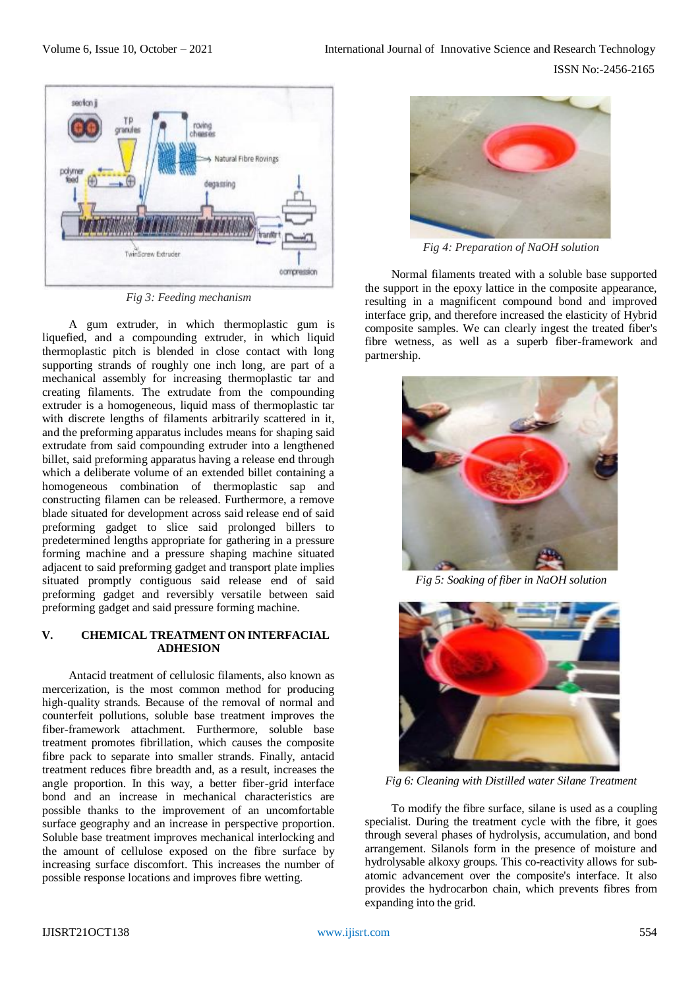

*Fig 3: Feeding mechanism*

A gum extruder, in which thermoplastic gum is liquefied, and a compounding extruder, in which liquid thermoplastic pitch is blended in close contact with long supporting strands of roughly one inch long, are part of a mechanical assembly for increasing thermoplastic tar and creating filaments. The extrudate from the compounding extruder is a homogeneous, liquid mass of thermoplastic tar with discrete lengths of filaments arbitrarily scattered in it, and the preforming apparatus includes means for shaping said extrudate from said compounding extruder into a lengthened billet, said preforming apparatus having a release end through which a deliberate volume of an extended billet containing a homogeneous combination of thermoplastic sap and constructing filamen can be released. Furthermore, a remove blade situated for development across said release end of said preforming gadget to slice said prolonged billers to predetermined lengths appropriate for gathering in a pressure forming machine and a pressure shaping machine situated adjacent to said preforming gadget and transport plate implies situated promptly contiguous said release end of said preforming gadget and reversibly versatile between said preforming gadget and said pressure forming machine.

# **V. CHEMICAL TREATMENT ON INTERFACIAL ADHESION**

Antacid treatment of cellulosic filaments, also known as mercerization, is the most common method for producing high-quality strands. Because of the removal of normal and counterfeit pollutions, soluble base treatment improves the fiber-framework attachment. Furthermore, soluble base treatment promotes fibrillation, which causes the composite fibre pack to separate into smaller strands. Finally, antacid treatment reduces fibre breadth and, as a result, increases the angle proportion. In this way, a better fiber-grid interface bond and an increase in mechanical characteristics are possible thanks to the improvement of an uncomfortable surface geography and an increase in perspective proportion. Soluble base treatment improves mechanical interlocking and the amount of cellulose exposed on the fibre surface by increasing surface discomfort. This increases the number of possible response locations and improves fibre wetting.



*Fig 4: Preparation of NaOH solution*

Normal filaments treated with a soluble base supported the support in the epoxy lattice in the composite appearance, resulting in a magnificent compound bond and improved interface grip, and therefore increased the elasticity of Hybrid composite samples. We can clearly ingest the treated fiber's fibre wetness, as well as a superb fiber-framework and partnership.



*Fig 5: Soaking of fiber in NaOH solution*



*Fig 6: Cleaning with Distilled water Silane Treatment*

To modify the fibre surface, silane is used as a coupling specialist. During the treatment cycle with the fibre, it goes through several phases of hydrolysis, accumulation, and bond arrangement. Silanols form in the presence of moisture and hydrolysable alkoxy groups. This co-reactivity allows for subatomic advancement over the composite's interface. It also provides the hydrocarbon chain, which prevents fibres from expanding into the grid.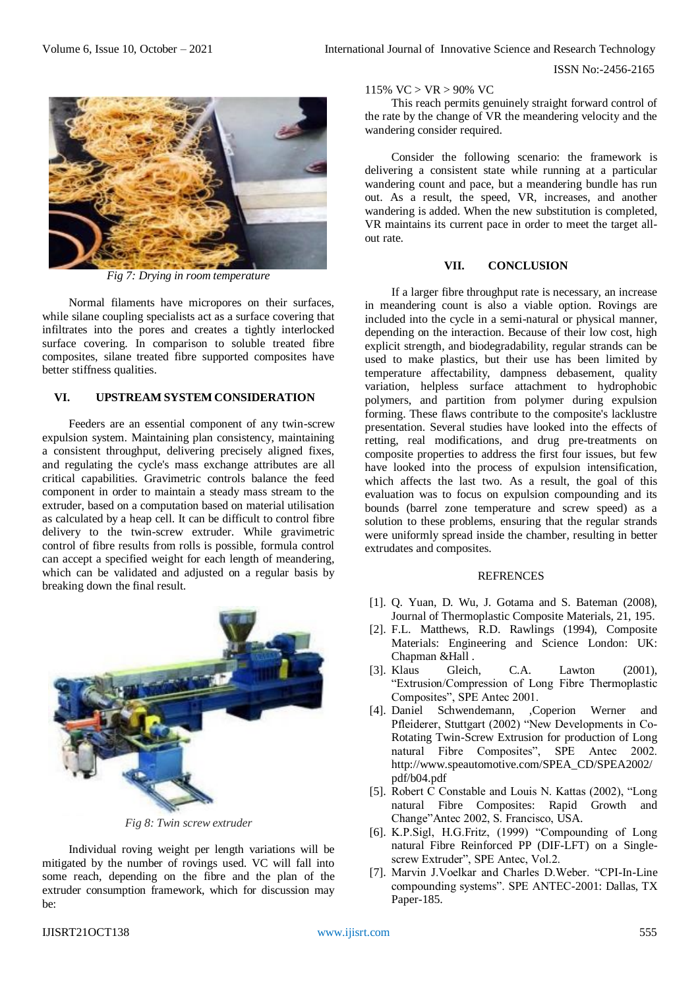ISSN No:-2456-2165



*Fig 7: Drying in room temperature*

Normal filaments have micropores on their surfaces, while silane coupling specialists act as a surface covering that infiltrates into the pores and creates a tightly interlocked surface covering. In comparison to soluble treated fibre composites, silane treated fibre supported composites have better stiffness qualities.

# **VI. UPSTREAM SYSTEM CONSIDERATION**

Feeders are an essential component of any twin-screw expulsion system. Maintaining plan consistency, maintaining a consistent throughput, delivering precisely aligned fixes, and regulating the cycle's mass exchange attributes are all critical capabilities. Gravimetric controls balance the feed component in order to maintain a steady mass stream to the extruder, based on a computation based on material utilisation as calculated by a heap cell. It can be difficult to control fibre delivery to the twin-screw extruder. While gravimetric control of fibre results from rolls is possible, formula control can accept a specified weight for each length of meandering, which can be validated and adjusted on a regular basis by breaking down the final result.



*Fig 8: Twin screw extruder*

Individual roving weight per length variations will be mitigated by the number of rovings used. VC will fall into some reach, depending on the fibre and the plan of the extruder consumption framework, which for discussion may be:

115%  $VC > VR > 90\%$  VC

This reach permits genuinely straight forward control of the rate by the change of VR the meandering velocity and the wandering consider required.

Consider the following scenario: the framework is delivering a consistent state while running at a particular wandering count and pace, but a meandering bundle has run out. As a result, the speed, VR, increases, and another wandering is added. When the new substitution is completed, VR maintains its current pace in order to meet the target allout rate.

#### **VII. CONCLUSION**

If a larger fibre throughput rate is necessary, an increase in meandering count is also a viable option. Rovings are included into the cycle in a semi-natural or physical manner, depending on the interaction. Because of their low cost, high explicit strength, and biodegradability, regular strands can be used to make plastics, but their use has been limited by temperature affectability, dampness debasement, quality variation, helpless surface attachment to hydrophobic polymers, and partition from polymer during expulsion forming. These flaws contribute to the composite's lacklustre presentation. Several studies have looked into the effects of retting, real modifications, and drug pre-treatments on composite properties to address the first four issues, but few have looked into the process of expulsion intensification, which affects the last two. As a result, the goal of this evaluation was to focus on expulsion compounding and its bounds (barrel zone temperature and screw speed) as a solution to these problems, ensuring that the regular strands were uniformly spread inside the chamber, resulting in better extrudates and composites.

#### **REFRENCES**

- [1]. Q. Yuan, D. Wu, J. Gotama and S. Bateman (2008), Journal of Thermoplastic Composite Materials, 21, 195.
- [2]. F.L. Matthews, R.D. Rawlings (1994), Composite Materials: Engineering and Science London: UK: Chapman &Hall .
- [3]. Klaus Gleich, C.A. Lawton (2001), "Extrusion/Compression of Long Fibre Thermoplastic Composites", SPE Antec 2001.
- [4]. Daniel Schwendemann, ,Coperion Werner and Pfleiderer, Stuttgart (2002) "New Developments in Co-Rotating Twin-Screw Extrusion for production of Long natural Fibre Composites", SPE Antec 2002. http://www.speautomotive.com/SPEA\_CD/SPEA2002/ pdf/b04.pdf
- [5]. Robert C Constable and Louis N. Kattas (2002), "Long natural Fibre Composites: Rapid Growth and Change"Antec 2002, S. Francisco, USA.
- [6]. K.P.Sigl, H.G.Fritz, (1999) "Compounding of Long natural Fibre Reinforced PP (DIF-LFT) on a Singlescrew Extruder", SPE Antec, Vol.2.
- [7]. Marvin J.Voelkar and Charles D.Weber. "CPI-In-Line compounding systems". SPE ANTEC-2001: Dallas, TX Paper-185.